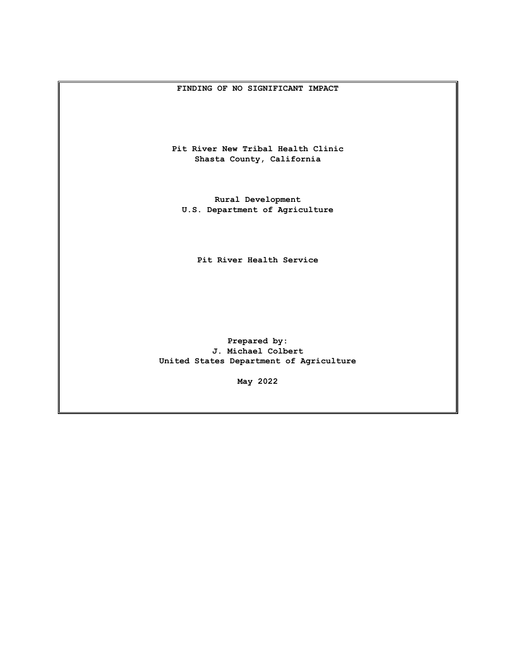#### **FINDING OF NO SIGNIFICANT IMPACT**

**Pit River New Tribal Health Clinic Shasta County, California**

**Rural Development U.S. Department of Agriculture** 

**Pit River Health Service**

**Prepared by: J. Michael Colbert United States Department of Agriculture**

**May 2022**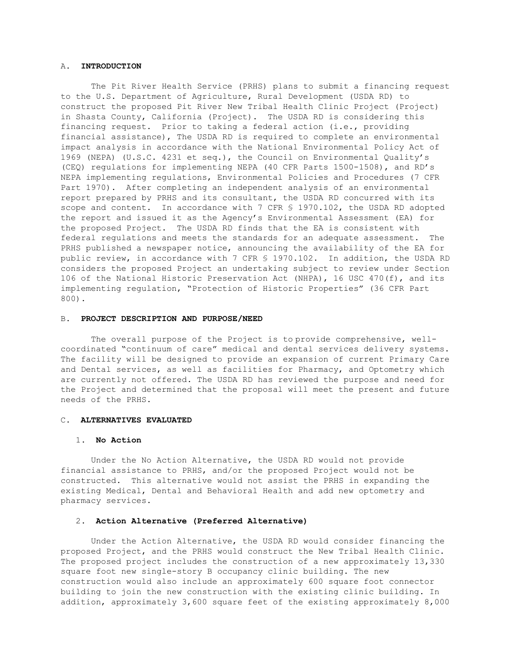#### A. **INTRODUCTION**

The Pit River Health Service (PRHS) plans to submit a financing request to the U.S. Department of Agriculture, Rural Development (USDA RD) to construct the proposed Pit River New Tribal Health Clinic Project (Project) in Shasta County, California (Project). The USDA RD is considering this financing request. Prior to taking a federal action (i.e., providing financial assistance), The USDA RD is required to complete an environmental impact analysis in accordance with the National Environmental Policy Act of 1969 (NEPA) (U.S.C. 4231 et seq.), the Council on Environmental Quality's (CEQ) regulations for implementing NEPA (40 CFR Parts 1500-1508), and RD's NEPA implementing regulations, Environmental Policies and Procedures (7 CFR Part 1970). After completing an independent analysis of an environmental report prepared by PRHS and its consultant, the USDA RD concurred with its scope and content. In accordance with 7 CFR § 1970.102, the USDA RD adopted the report and issued it as the Agency's Environmental Assessment (EA) for the proposed Project. The USDA RD finds that the EA is consistent with federal regulations and meets the standards for an adequate assessment. The PRHS published a newspaper notice, announcing the availability of the EA for public review, in accordance with 7 CFR § 1970.102. In addition, the USDA RD considers the proposed Project an undertaking subject to review under Section 106 of the National Historic Preservation Act (NHPA), 16 USC 470(f), and its implementing regulation, "Protection of Historic Properties" (36 CFR Part 800).

# B. **PROJECT DESCRIPTION AND PURPOSE/NEED**

The overall purpose of the Project is to provide comprehensive, wellcoordinated "continuum of care" medical and dental services delivery systems. The facility will be designed to provide an expansion of current Primary Care and Dental services, as well as facilities for Pharmacy, and Optometry which are currently not offered. The USDA RD has reviewed the purpose and need for the Project and determined that the proposal will meet the present and future needs of the PRHS.

#### C. **ALTERNATIVES EVALUATED**

# 1. **No Action**

Under the No Action Alternative, the USDA RD would not provide financial assistance to PRHS, and/or the proposed Project would not be constructed. This alternative would not assist the PRHS in expanding the existing Medical, Dental and Behavioral Health and add new optometry and pharmacy services.

## 2. **Action Alternative (Preferred Alternative)**

Under the Action Alternative, the USDA RD would consider financing the proposed Project, and the PRHS would construct the New Tribal Health Clinic. The proposed project includes the construction of a new approximately 13,330 square foot new single-story B occupancy clinic building. The new construction would also include an approximately 600 square foot connector building to join the new construction with the existing clinic building. In addition, approximately 3,600 square feet of the existing approximately 8,000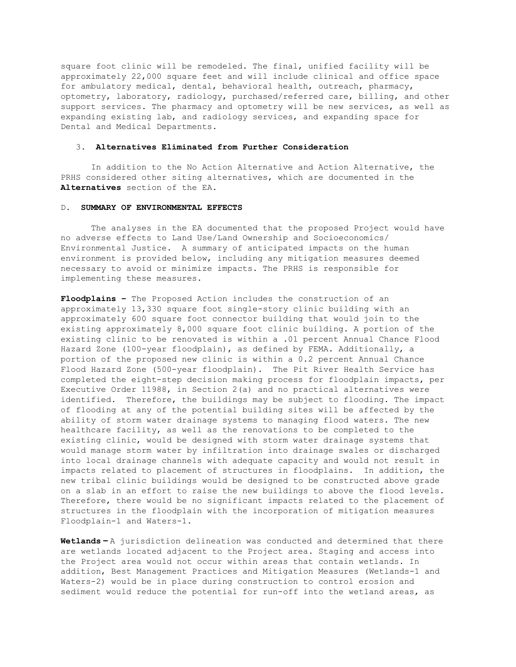square foot clinic will be remodeled. The final, unified facility will be approximately 22,000 square feet and will include clinical and office space for ambulatory medical, dental, behavioral health, outreach, pharmacy, optometry, laboratory, radiology, purchased/referred care, billing, and other support services. The pharmacy and optometry will be new services, as well as expanding existing lab, and radiology services, and expanding space for Dental and Medical Departments.

### 3. **Alternatives Eliminated from Further Consideration**

In addition to the No Action Alternative and Action Alternative, the PRHS considered other siting alternatives, which are documented in the **Alternatives** section of the EA.

# D. **SUMMARY OF ENVIRONMENTAL EFFECTS**

The analyses in the EA documented that the proposed Project would have no adverse effects to Land Use/Land Ownership and Socioeconomics/ Environmental Justice. A summary of anticipated impacts on the human environment is provided below, including any mitigation measures deemed necessary to avoid or minimize impacts. The PRHS is responsible for implementing these measures.

**Floodplains –** The Proposed Action includes the construction of an approximately 13,330 square foot single-story clinic building with an approximately 600 square foot connector building that would join to the existing approximately 8,000 square foot clinic building. A portion of the existing clinic to be renovated is within a .01 percent Annual Chance Flood Hazard Zone (100-year floodplain), as defined by FEMA. Additionally, a portion of the proposed new clinic is within a 0.2 percent Annual Chance Flood Hazard Zone (500-year floodplain). The Pit River Health Service has completed the eight-step decision making process for floodplain impacts, per Executive Order 11988, in Section 2(a) and no practical alternatives were identified. Therefore, the buildings may be subject to flooding. The impact of flooding at any of the potential building sites will be affected by the ability of storm water drainage systems to managing flood waters. The new healthcare facility, as well as the renovations to be completed to the existing clinic, would be designed with storm water drainage systems that would manage storm water by infiltration into drainage swales or discharged into local drainage channels with adequate capacity and would not result in impacts related to placement of structures in floodplains. In addition, the new tribal clinic buildings would be designed to be constructed above grade on a slab in an effort to raise the new buildings to above the flood levels. Therefore, there would be no significant impacts related to the placement of structures in the floodplain with the incorporation of mitigation measures Floodplain-1 and Waters-1.

**Wetlands –** A jurisdiction delineation was conducted and determined that there are wetlands located adjacent to the Project area. Staging and access into the Project area would not occur within areas that contain wetlands. In addition, Best Management Practices and Mitigation Measures (Wetlands-1 and Waters-2) would be in place during construction to control erosion and sediment would reduce the potential for run-off into the wetland areas, as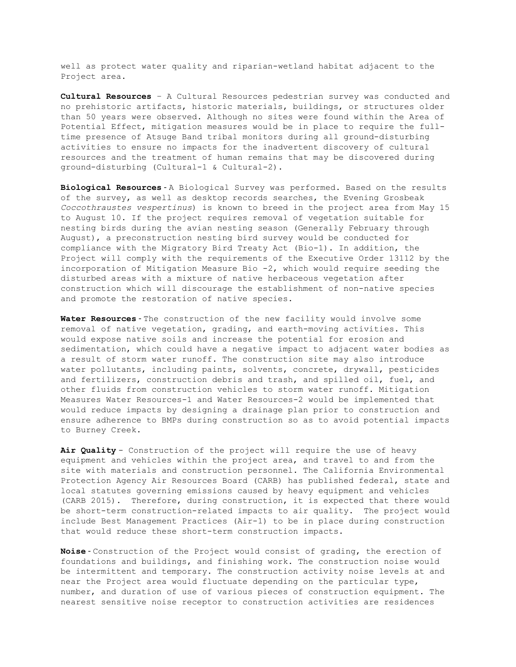well as protect water quality and riparian-wetland habitat adjacent to the Project area.

**Cultural Resources** – A Cultural Resources pedestrian survey was conducted and no prehistoric artifacts, historic materials, buildings, or structures older than 50 years were observed. Although no sites were found within the Area of Potential Effect, mitigation measures would be in place to require the fulltime presence of Atsuge Band tribal monitors during all ground-disturbing activities to ensure no impacts for the inadvertent discovery of cultural resources and the treatment of human remains that may be discovered during ground-disturbing (Cultural-1 & Cultural-2).

**Biological Resources** - A Biological Survey was performed. Based on the results of the survey, as well as desktop records searches, the Evening Grosbeak *Coccothraustes vespertinus*) is known to breed in the project area from May 15 to August 10. If the project requires removal of vegetation suitable for nesting birds during the avian nesting season (Generally February through August), a preconstruction nesting bird survey would be conducted for compliance with the Migratory Bird Treaty Act (Bio-1). In addition, the Project will comply with the requirements of the Executive Order 13112 by the incorporation of Mitigation Measure Bio -2, which would require seeding the disturbed areas with a mixture of native herbaceous vegetation after construction which will discourage the establishment of non-native species and promote the restoration of native species.

**Water Resources** - The construction of the new facility would involve some removal of native vegetation, grading, and earth-moving activities. This would expose native soils and increase the potential for erosion and sedimentation, which could have a negative impact to adjacent water bodies as a result of storm water runoff. The construction site may also introduce water pollutants, including paints, solvents, concrete, drywall, pesticides and fertilizers, construction debris and trash, and spilled oil, fuel, and other fluids from construction vehicles to storm water runoff. Mitigation Measures Water Resources-1 and Water Resources-2 would be implemented that would reduce impacts by designing a drainage plan prior to construction and ensure adherence to BMPs during construction so as to avoid potential impacts to Burney Creek.

**Air Quality** - Construction of the project will require the use of heavy equipment and vehicles within the project area, and travel to and from the site with materials and construction personnel. The California Environmental Protection Agency Air Resources Board (CARB) has published federal, state and local statutes governing emissions caused by heavy equipment and vehicles (CARB 2015). Therefore, during construction, it is expected that there would be short-term construction-related impacts to air quality. The project would include Best Management Practices (Air-1) to be in place during construction that would reduce these short-term construction impacts.

**Noise** - Construction of the Project would consist of grading, the erection of foundations and buildings, and finishing work. The construction noise would be intermittent and temporary. The construction activity noise levels at and near the Project area would fluctuate depending on the particular type, number, and duration of use of various pieces of construction equipment. The nearest sensitive noise receptor to construction activities are residences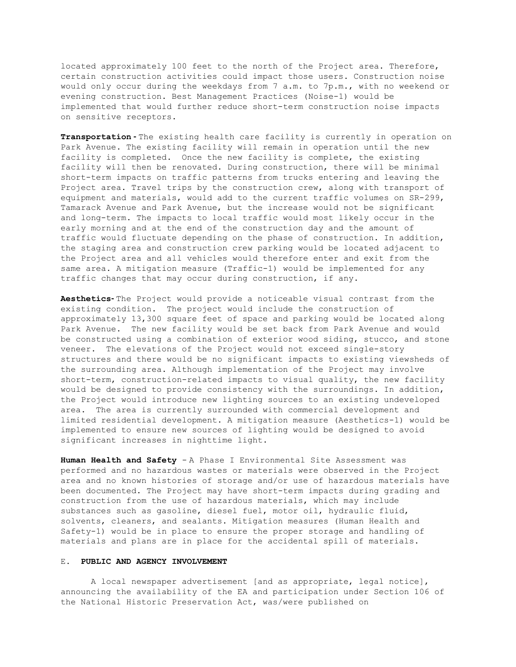located approximately 100 feet to the north of the Project area. Therefore, certain construction activities could impact those users. Construction noise would only occur during the weekdays from 7 a.m. to 7p.m., with no weekend or evening construction. Best Management Practices (Noise-1) would be implemented that would further reduce short-term construction noise impacts on sensitive receptors.

**Transportation -** The existing health care facility is currently in operation on Park Avenue. The existing facility will remain in operation until the new facility is completed. Once the new facility is complete, the existing facility will then be renovated. During construction, there will be minimal short-term impacts on traffic patterns from trucks entering and leaving the Project area. Travel trips by the construction crew, along with transport of equipment and materials, would add to the current traffic volumes on SR-299, Tamarack Avenue and Park Avenue, but the increase would not be significant and long-term. The impacts to local traffic would most likely occur in the early morning and at the end of the construction day and the amount of traffic would fluctuate depending on the phase of construction. In addition, the staging area and construction crew parking would be located adjacent to the Project area and all vehicles would therefore enter and exit from the same area. A mitigation measure (Traffic-1) would be implemented for any traffic changes that may occur during construction, if any.

**Aesthetics-** The Project would provide a noticeable visual contrast from the existing condition. The project would include the construction of approximately 13,300 square feet of space and parking would be located along Park Avenue. The new facility would be set back from Park Avenue and would be constructed using a combination of exterior wood siding, stucco, and stone veneer. The elevations of the Project would not exceed single-story structures and there would be no significant impacts to existing viewsheds of the surrounding area. Although implementation of the Project may involve short-term, construction-related impacts to visual quality, the new facility would be designed to provide consistency with the surroundings. In addition, the Project would introduce new lighting sources to an existing undeveloped area. The area is currently surrounded with commercial development and limited residential development. A mitigation measure (Aesthetics-1) would be implemented to ensure new sources of lighting would be designed to avoid significant increases in nighttime light.

**Human Health and Safety** - A Phase I Environmental Site Assessment was performed and no hazardous wastes or materials were observed in the Project area and no known histories of storage and/or use of hazardous materials have been documented. The Project may have short-term impacts during grading and construction from the use of hazardous materials, which may include substances such as gasoline, diesel fuel, motor oil, hydraulic fluid, solvents, cleaners, and sealants. Mitigation measures (Human Health and Safety-1) would be in place to ensure the proper storage and handling of materials and plans are in place for the accidental spill of materials.

## E. **PUBLIC AND AGENCY INVOLVEMENT**

A local newspaper advertisement [and as appropriate, legal notice], announcing the availability of the EA and participation under Section 106 of the National Historic Preservation Act, was/were published on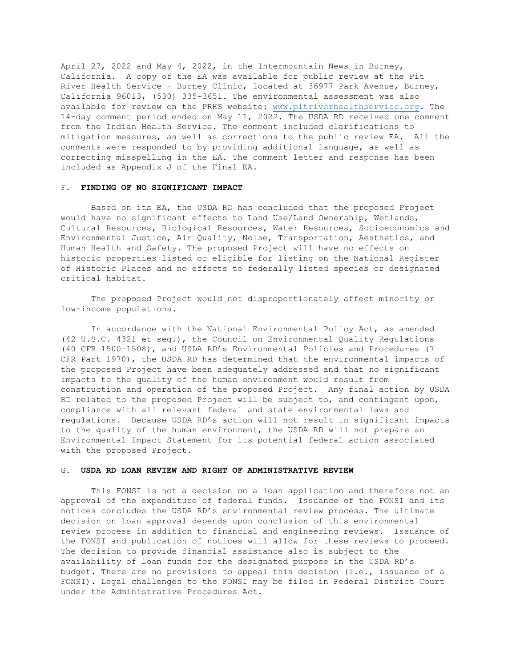April 27, 2022 and May 4, 2022, in the Intermountain News in Burney, California. A copy of the EA was available for public review at the Pit River Health Service - Burney Clinic, located at 36977 Park Avenue, Burney, California 96013, (530) 335-3651. The environmental assessment was also available for review on the PRHS website: [www.pitriverhealthservice.org.](http://www.pitriverhealthservice.org/) The 14-day comment period ended on May 11, 2022. The USDA RD received one comment from the Indian Health Service. The comment included clarifications to mitigation measures, as well as corrections to the public review EA. All the comments were responded to by providing additional language, as well as correcting misspelling in the EA. The comment letter and response has been included as Appendix J of the Final EA.

# F. **FINDING OF NO SIGNIFICANT IMPACT**

Based on its EA, the USDA RD has concluded that the proposed Project would have no significant effects to Land Use/Land Ownership, Wetlands, Cultural Resources, Biological Resources, Water Resources, Socioeconomics and Environmental Justice, Air Quality, Noise, Transportation, Aesthetics, and Human Health and Safety. The proposed Project will have no effects on historic properties listed or eligible for listing on the National Register of Historic Places and no effects to federally listed species or designated critical habitat.

The proposed Project would not disproportionately affect minority or low-income populations.

In accordance with the National Environmental Policy Act, as amended (42 U.S.C. 4321 et seq.), the Council on Environmental Quality Regulations (40 CFR 1500–1508), and USDA RD's Environmental Policies and Procedures (7 CFR Part 1970), the USDA RD has determined that the environmental impacts of the proposed Project have been adequately addressed and that no significant impacts to the quality of the human environment would result from construction and operation of the proposed Project. Any final action by USDA RD related to the proposed Project will be subject to, and contingent upon, compliance with all relevant federal and state environmental laws and regulations. Because USDA RD's action will not result in significant impacts to the quality of the human environment, the USDA RD will not prepare an Environmental Impact Statement for its potential federal action associated with the proposed Project.

## G. **USDA RD LOAN REVIEW AND RIGHT OF ADMINISTRATIVE REVIEW**

This FONSI is not a decision on a loan application and therefore not an approval of the expenditure of federal funds. Issuance of the FONSI and its notices concludes the USDA RD's environmental review process. The ultimate decision on loan approval depends upon conclusion of this environmental review process in addition to financial and engineering reviews. Issuance of the FONSI and publication of notices will allow for these reviews to proceed. The decision to provide financial assistance also is subject to the availability of loan funds for the designated purpose in the USDA RD's budget. There are no provisions to appeal this decision (i.e., issuance of a FONSI). Legal challenges to the FONSI may be filed in Federal District Court under the Administrative Procedures Act.